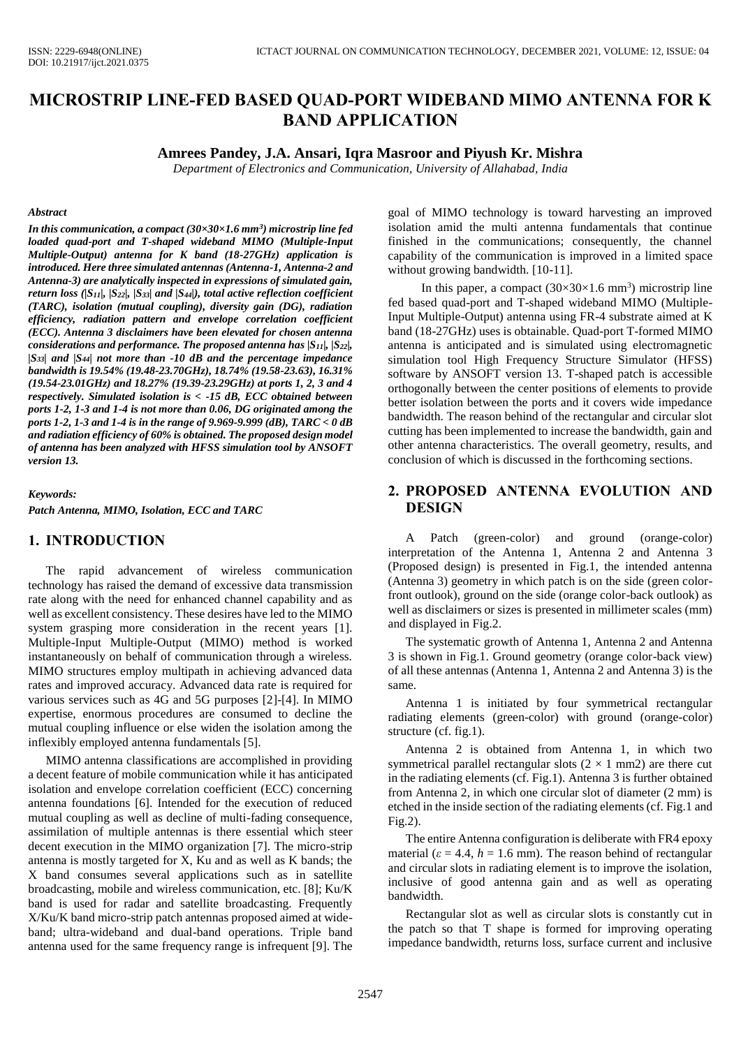# **MICROSTRIP LINE-FED BASED QUAD-PORT WIDEBAND MIMO ANTENNA FOR K BAND APPLICATION**

#### **Amrees Pandey, J.A. Ansari, Iqra Masroor and Piyush Kr. Mishra**

*Department of Electronics and Communication, University of Allahabad, India*

#### *Abstract*

*In this communication, a compact (30×30×1.6 mm<sup>3</sup> ) microstrip line fed loaded quad-port and T-shaped wideband MIMO (Multiple-Input Multiple-Output) antenna for K band (18-27GHz) application is introduced. Here three simulated antennas (Antenna-1, Antenna-2 and Antenna-3) are analytically inspected in expressions of simulated gain, return loss (|S11|, |S22|, |S33| and |S44|), total active reflection coefficient (TARC), isolation (mutual coupling), diversity gain (DG), radiation efficiency, radiation pattern and envelope correlation coefficient (ECC). Antenna 3 disclaimers have been elevated for chosen antenna considerations and performance. The proposed antenna has |S11|, |S22|, |S33| and |S44| not more than -10 dB and the percentage impedance bandwidth is 19.54% (19.48-23.70GHz), 18.74% (19.58-23.63), 16.31% (19.54-23.01GHz) and 18.27% (19.39-23.29GHz) at ports 1, 2, 3 and 4 respectively. Simulated isolation is < -15 dB, ECC obtained between ports 1-2, 1-3 and 1-4 is not more than 0.06, DG originated among the ports 1-2, 1-3 and 1-4 is in the range of 9.969-9.999 (dB), TARC < 0 dB and radiation efficiency of 60% is obtained. The proposed design model of antenna has been analyzed with HFSS simulation tool by ANSOFT version 13.*

#### *Keywords:*

*Patch Antenna, MIMO, Isolation, ECC and TARC*

### **1. INTRODUCTION**

The rapid advancement of wireless communication technology has raised the demand of excessive data transmission rate along with the need for enhanced channel capability and as well as excellent consistency. These desires have led to the MIMO system grasping more consideration in the recent years [1]. Multiple-Input Multiple-Output (MIMO) method is worked instantaneously on behalf of communication through a wireless. MIMO structures employ multipath in achieving advanced data rates and improved accuracy. Advanced data rate is required for various services such as 4G and 5G purposes [2]-[4]. In MIMO expertise, enormous procedures are consumed to decline the mutual coupling influence or else widen the isolation among the inflexibly employed antenna fundamentals [5].

MIMO antenna classifications are accomplished in providing a decent feature of mobile communication while it has anticipated isolation and envelope correlation coefficient (ECC) concerning antenna foundations [6]. Intended for the execution of reduced mutual coupling as well as decline of multi-fading consequence, assimilation of multiple antennas is there essential which steer decent execution in the MIMO organization [7]. The micro-strip antenna is mostly targeted for X, Ku and as well as K bands; the X band consumes several applications such as in satellite broadcasting, mobile and wireless communication, etc. [8]; Ku/K band is used for radar and satellite broadcasting. Frequently X/Ku/K band micro-strip patch antennas proposed aimed at wideband; ultra-wideband and dual-band operations. Triple band antenna used for the same frequency range is infrequent [9]. The

goal of MIMO technology is toward harvesting an improved isolation amid the multi antenna fundamentals that continue finished in the communications; consequently, the channel capability of the communication is improved in a limited space without growing bandwidth. [10-11].

In this paper, a compact  $(30\times30\times1.6 \text{ mm}^3)$  microstrip line fed based quad-port and T-shaped wideband MIMO (Multiple-Input Multiple-Output) antenna using FR-4 substrate aimed at K band (18-27GHz) uses is obtainable. Quad-port T-formed MIMO antenna is anticipated and is simulated using electromagnetic simulation tool High Frequency Structure Simulator (HFSS) software by ANSOFT version 13. T-shaped patch is accessible orthogonally between the center positions of elements to provide better isolation between the ports and it covers wide impedance bandwidth. The reason behind of the rectangular and circular slot cutting has been implemented to increase the bandwidth, gain and other antenna characteristics. The overall geometry, results, and conclusion of which is discussed in the forthcoming sections.

## **2. PROPOSED ANTENNA EVOLUTION AND DESIGN**

A Patch (green-color) and ground (orange-color) interpretation of the Antenna 1, Antenna 2 and Antenna 3 (Proposed design) is presented in Fig.1, the intended antenna (Antenna 3) geometry in which patch is on the side (green colorfront outlook), ground on the side (orange color-back outlook) as well as disclaimers or sizes is presented in millimeter scales (mm) and displayed in Fig.2.

The systematic growth of Antenna 1, Antenna 2 and Antenna 3 is shown in Fig.1. Ground geometry (orange color-back view) of all these antennas (Antenna 1, Antenna 2 and Antenna 3) is the same.

Antenna 1 is initiated by four symmetrical rectangular radiating elements (green-color) with ground (orange-color) structure (cf. fig.1).

Antenna 2 is obtained from Antenna 1, in which two symmetrical parallel rectangular slots  $(2 \times 1 \text{ mm2})$  are there cut in the radiating elements (cf. Fig.1). Antenna 3 is further obtained from Antenna 2, in which one circular slot of diameter (2 mm) is etched in the inside section of the radiating elements (cf. Fig.1 and Fig.2).

The entire Antenna configuration is deliberate with FR4 epoxy material ( $\varepsilon$  = 4.4,  $h$  = 1.6 mm). The reason behind of rectangular and circular slots in radiating element is to improve the isolation, inclusive of good antenna gain and as well as operating bandwidth.

Rectangular slot as well as circular slots is constantly cut in the patch so that T shape is formed for improving operating impedance bandwidth, returns loss, surface current and inclusive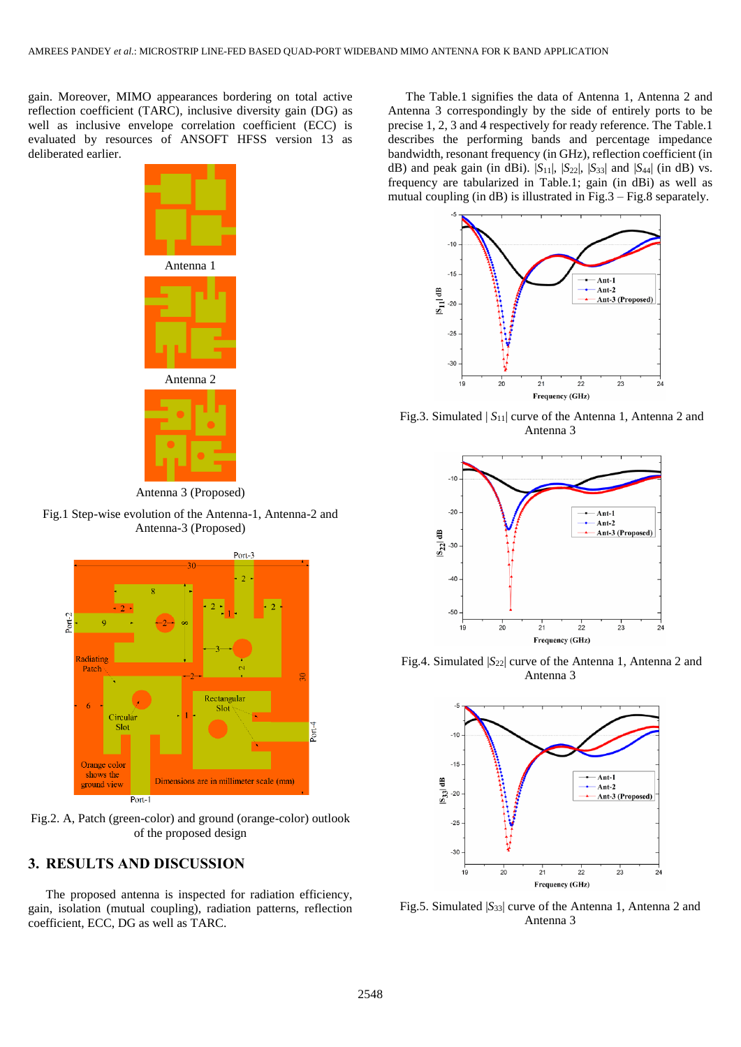gain. Moreover, MIMO appearances bordering on total active reflection coefficient (TARC), inclusive diversity gain (DG) as well as inclusive envelope correlation coefficient (ECC) is evaluated by resources of ANSOFT HFSS version 13 as deliberated earlier.





Fig.1 Step-wise evolution of the Antenna-1, Antenna-2 and Antenna-3 (Proposed)



Fig.2. A, Patch (green-color) and ground (orange-color) outlook of the proposed design

# **3. RESULTS AND DISCUSSION**

The proposed antenna is inspected for radiation efficiency, gain, isolation (mutual coupling), radiation patterns, reflection coefficient, ECC, DG as well as TARC.

The Table.1 signifies the data of Antenna 1, Antenna 2 and Antenna 3 correspondingly by the side of entirely ports to be precise 1, 2, 3 and 4 respectively for ready reference. The Table.1 describes the performing bands and percentage impedance bandwidth, resonant frequency (in GHz), reflection coefficient (in dB) and peak gain (in dBi).  $|S_{11}|$ ,  $|S_{22}|$ ,  $|S_{33}|$  and  $|S_{44}|$  (in dB) vs. frequency are tabularized in Table.1; gain (in dBi) as well as mutual coupling (in dB) is illustrated in Fig.3 – Fig.8 separately.



Fig.3. Simulated | *S*11| curve of the Antenna 1, Antenna 2 and Antenna 3



Fig.4. Simulated  $|S_{22}|$  curve of the Antenna 1, Antenna 2 and Antenna 3



Fig.5. Simulated  $|S_{33}|$  curve of the Antenna 1, Antenna 2 and Antenna 3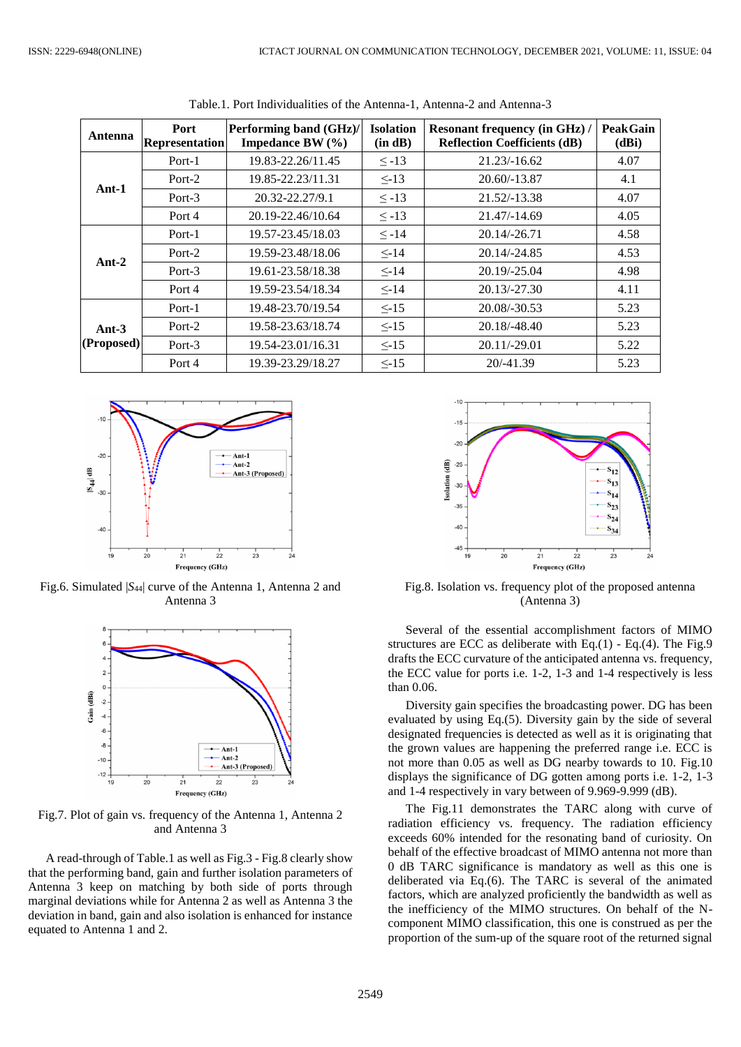| Antenna                | <b>Port</b><br><b>Representation</b> | Performing band (GHz)/<br>Impedance BW $(\% )$ | <b>Isolation</b><br>(in dB) | <b>Resonant frequency (in GHz)/</b><br><b>Reflection Coefficients (dB)</b> | <b>Peak Gain</b><br>(dBi) |
|------------------------|--------------------------------------|------------------------------------------------|-----------------------------|----------------------------------------------------------------------------|---------------------------|
| $Ant-1$                | Port-1                               | 19.83-22.26/11.45                              | $\le -13$                   | $21.23/-16.62$                                                             | 4.07                      |
|                        | Port-2                               | 19.85-22.23/11.31                              | $\leq$ -13                  | $20.60/-13.87$                                                             | 4.1                       |
|                        | Port-3                               | 20.32-22.27/9.1                                | $\le -13$<br>21.52/-13.38   |                                                                            | 4.07                      |
|                        | Port 4                               | 20.19-22.46/10.64                              | $\leq$ -13                  | 21.47/-14.69                                                               | 4.05                      |
| $Ant-2$                | Port-1                               | 19.57-23.45/18.03                              | $\leq -14$                  | $20.14/-26.71$                                                             | 4.58                      |
|                        | Port-2                               | 19.59-23.48/18.06                              | $\leq$ -14                  | 20.14/-24.85                                                               | 4.53                      |
|                        | Port-3                               | 19.61-23.58/18.38                              | $\leq$ -14                  | $20.19/-25.04$                                                             | 4.98                      |
|                        | Port 4                               | 19.59-23.54/18.34                              | $\leq$ -14                  | $20.13/-27.30$                                                             | 4.11                      |
| Ant- $3$<br>(Proposed) | Port-1                               | 19.48-23.70/19.54                              | $\leq$ -15                  | 20.08/-30.53                                                               | 5.23                      |
|                        | Port-2                               | 19.58-23.63/18.74                              | $\leq$ -15                  | $20.18/-48.40$                                                             | 5.23                      |
|                        | Port-3                               | 19.54-23.01/16.31                              | $\leq$ -15                  | 20.11/-29.01                                                               |                           |
|                        | Port 4                               | 19.39-23.29/18.27                              | $< -15$                     | $20/-41.39$                                                                | 5.23                      |

Table.1. Port Individualities of the Antenna-1, Antenna-2 and Antenna-3



Fig.6. Simulated  $|S_{44}|$  curve of the Antenna 1, Antenna 2 and Antenna 3



Fig.7. Plot of gain vs. frequency of the Antenna 1, Antenna 2 and Antenna 3

A read-through of Table.1 as well as Fig.3 - Fig.8 clearly show that the performing band, gain and further isolation parameters of Antenna 3 keep on matching by both side of ports through marginal deviations while for Antenna 2 as well as Antenna 3 the deviation in band, gain and also isolation is enhanced for instance equated to Antenna 1 and 2.



Fig.8. Isolation vs. frequency plot of the proposed antenna (Antenna 3)

Several of the essential accomplishment factors of MIMO structures are ECC as deliberate with Eq.(1) - Eq.(4). The Fig.9 drafts the ECC curvature of the anticipated antenna vs. frequency, the ECC value for ports i.e. 1-2, 1-3 and 1-4 respectively is less than 0.06.

Diversity gain specifies the broadcasting power. DG has been evaluated by using Eq.(5). Diversity gain by the side of several designated frequencies is detected as well as it is originating that the grown values are happening the preferred range i.e. ECC is not more than 0.05 as well as DG nearby towards to 10. Fig.10 displays the significance of DG gotten among ports i.e. 1-2, 1-3 and 1-4 respectively in vary between of 9.969-9.999 (dB).

The Fig.11 demonstrates the TARC along with curve of radiation efficiency vs. frequency. The radiation efficiency exceeds 60% intended for the resonating band of curiosity. On behalf of the effective broadcast of MIMO antenna not more than 0 dB TARC significance is mandatory as well as this one is deliberated via Eq.(6). The TARC is several of the animated factors, which are analyzed proficiently the bandwidth as well as the inefficiency of the MIMO structures. On behalf of the Ncomponent MIMO classification, this one is construed as per the proportion of the sum-up of the square root of the returned signal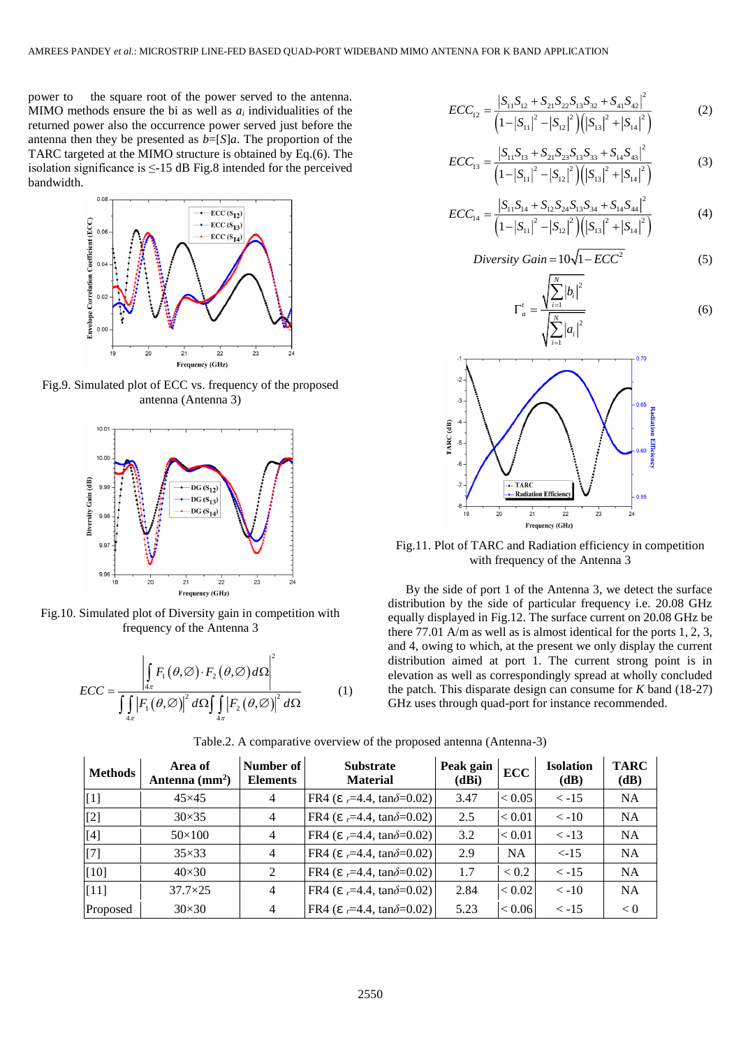power to the square root of the power served to the antenna. MIMO methods ensure the bi as well as  $a_i$  individualities of the returned power also the occurrence power served just before the antenna then they be presented as *b*=[*S*]*a*. The proportion of the TARC targeted at the MIMO structure is obtained by Eq.(6). The isolation significance is  $\leq$ -15 dB Fig.8 intended for the perceived bandwidth.



Fig.9. Simulated plot of ECC vs. frequency of the proposed antenna (Antenna 3)



Fig.10. Simulated plot of Diversity gain in competition with frequency of the Antenna 3

$$
ECC = \frac{\left| \int_{4\pi} F_1(\theta, \varnothing) \cdot F_2(\theta, \varnothing) d\Omega \right|^2}{\int_{4\pi} \left| F_1(\theta, \varnothing) \right|^2 d\Omega \int_{4\pi} \left| F_2(\theta, \varnothing) \right|^2 d\Omega} \tag{1}
$$

$$
ECC_{12} = \frac{\left|S_{11}S_{12} + S_{21}S_{22}S_{13}S_{32} + S_{41}S_{42}\right|^{2}}{\left(1 - \left|S_{11}\right|^{2} - \left|S_{12}\right|^{2}\right)\left(\left|S_{13}\right|^{2} + \left|S_{14}\right|^{2}\right)}
$$
(2)

$$
ECC_{13} = \frac{\left|S_{11}S_{13} + S_{21}S_{23}S_{13}S_{33} + S_{14}S_{43}\right|^{2}}{\left(1 - \left|S_{11}\right|^{2} - \left|S_{12}\right|^{2}\right)\left(\left|S_{13}\right|^{2} + \left|S_{14}\right|^{2}\right)}
$$
(3)

$$
ECC_{14} = \frac{|S_{11}S_{14} + S_{12}S_{24}S_{13}S_{34} + S_{14}S_{44}|^2}{\left(1 - |S_{11}|^2 - |S_{12}|^2\right)\left(|S_{13}|^2 + |S_{14}|^2\right)}
$$
(4)

$$
Diversity Gain = 10\sqrt{1 - ECC^2}
$$
 (5)





Fig.11. Plot of TARC and Radiation efficiency in competition with frequency of the Antenna 3

By the side of port 1 of the Antenna 3, we detect the surface distribution by the side of particular frequency i.e. 20.08 GHz equally displayed in Fig.12. The surface current on 20.08 GHz be there 77.01 A/m as well as is almost identical for the ports 1, 2, 3, and 4, owing to which, at the present we only display the current distribution aimed at port 1. The current strong point is in elevation as well as correspondingly spread at wholly concluded the patch. This disparate design can consume for *K* band (18-27) GHz uses through quad-port for instance recommended.

| <b>Methods</b> | Area of<br>Antenna $(mm2)$ | Number of<br><b>Elements</b> | <b>Substrate</b><br><b>Material</b>           | Peak gain<br>(dBi) | <b>ECC</b> | <b>Isolation</b><br>(dB) | <b>TARC</b><br>(dB) |
|----------------|----------------------------|------------------------------|-----------------------------------------------|--------------------|------------|--------------------------|---------------------|
| $\vert$ [1]    | $45\times 45$              | $\overline{4}$               | FR4 ( $\epsilon$ =4.4, tan $\delta$ =0.02)    | 3.47               | < 0.05     | $\le -15$                | <b>NA</b>           |
| [2]            | $30\times35$               | $\overline{4}$               | FR4 ( $\epsilon$ =4.4, tan $\delta$ =0.02)    | 2.5                | < 0.01     | $\langle -10 \rangle$    | <b>NA</b>           |
| $[4]$          | $50\times100$              | $\overline{4}$               | FR4 ( $\epsilon$ $=$ 4.4, tan $\delta$ =0.02) | 3.2                | < 0.01     | $<-13$                   | <b>NA</b>           |
| $[7]$          | $35\times33$               | $\overline{4}$               | FR4 ( $\epsilon$ =4.4, tan $\delta$ =0.02)    | 2.9                | <b>NA</b>  | $< -15$                  | <b>NA</b>           |
| [10]           | $40\times30$               | 2                            | FR4 ( $\epsilon$ $=$ 4.4, tan $\delta$ =0.02) | 1.7                | < 0.2      | $\le -15$                | <b>NA</b>           |
| [11]           | $37.7 \times 25$           | $\overline{4}$               | FR4 ( $\epsilon$ =4.4, tan $\delta$ =0.02)    | 2.84               | < 0.02     | $\langle -10 \rangle$    | <b>NA</b>           |
| Proposed       | $30\times30$               | $\overline{4}$               | FR4 ( $\epsilon$ =4.4, tan $\delta$ =0.02)    | 5.23               | < 0.06     | $\le -15$                | < 0                 |

Table.2. A comparative overview of the proposed antenna (Antenna-3)